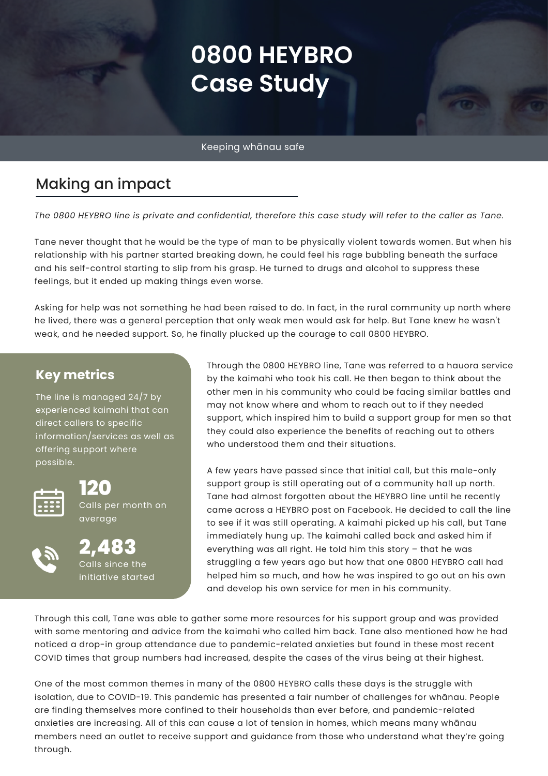# **0800 HEYBRO Case Study**

Keeping whānau safe

# Making an impact

The 0800 HEYBRO line is private and confidential, therefore this case study will refer to the caller as Tane.

Tane never thought that he would be the type of man to be physically violent towards women. But when his relationship with his partner started breaking down, he could feel his rage bubbling beneath the surface and his self-control starting to slip from his grasp. He turned to drugs and alcohol to suppress these feelings, but it ended up making things even worse.

Asking for help was not something he had been raised to do. In fact, in the rural community up north where he lived, there was a general perception that only weak men would ask for help. But Tane knew he wasn't weak, and he needed support. So, he finally plucked up the courage to call 0800 HEYBRO.

#### **Key metrics**

The line is managed 24/7 by experienced kaimahi that can direct callers to specific information/services as well as offering support where possible.



**120** Calls per month on average



**2,483** Calls since the initiative started Through the 0800 HEYBRO line, Tane was referred to a hauora service by the kaimahi who took his call. He then began to think about the other men in his community who could be facing similar battles and may not know where and whom to reach out to if they needed support, which inspired him to build a support group for men so that they could also experience the benefits of reaching out to others who understood them and their situations.

A few years have passed since that initial call, but this male-only support group is still operating out of a community hall up north. Tane had almost forgotten about the HEYBRO line until he recently came across a HEYBRO post on Facebook. He decided to call the line to see if it was still operating. A kaimahi picked up his call, but Tane immediately hung up. The kaimahi called back and asked him if everything was all right. He told him this story – that he was struggling a few years ago but how that one 0800 HEYBRO call had helped him so much, and how he was inspired to go out on his own and develop his own service for men in his community.

Through this call, Tane was able to gather some more resources for his support group and was provided with some mentoring and advice from the kaimahi who called him back. Tane also mentioned how he had noticed a drop-in group attendance due to pandemic-related anxieties but found in these most recent COVID times that group numbers had increased, despite the cases of the virus being at their highest.

One of the most common themes in many of the 0800 HEYBRO calls these days is the struggle with isolation, due to COVID-19. This pandemic has presented a fair number of challenges for whānau. People are finding themselves more confined to their households than ever before, and pandemic-related anxieties are increasing. All of this can cause a lot of tension in homes, which means many whānau members need an outlet to receive support and guidance from those who understand what they're going through.